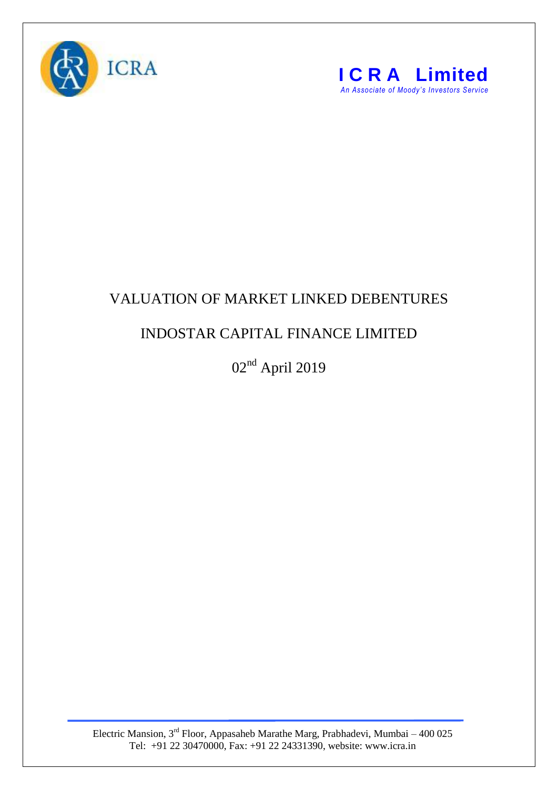



## VALUATION OF MARKET LINKED DEBENTURES

## INDOSTAR CAPITAL FINANCE LIMITED

02nd April 2019

Electric Mansion,  $3<sup>rd</sup>$  Floor, Appasaheb Marathe Marg, Prabhadevi, Mumbai – 400 025 Tel: +91 22 30470000, Fax: +91 22 24331390, website: www.icra.in